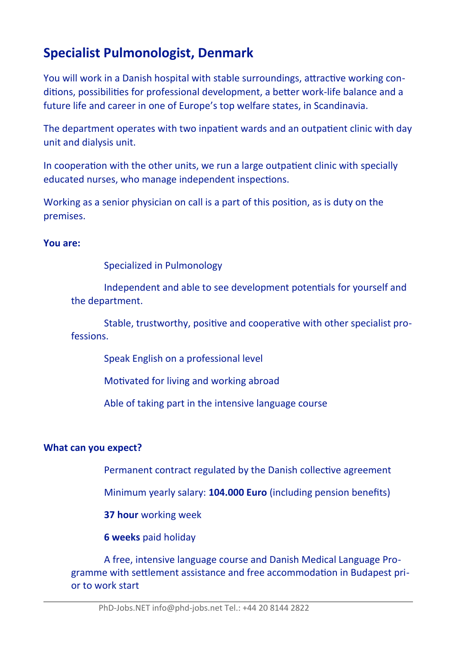# **Specialist Pulmonologist, Denmark**

You will work in a Danish hospital with stable surroundings, attractive working conditions, possibilities for professional development, a better work-life balance and a future life and career in one of Europe's top welfare states, in Scandinavia.

The department operates with two inpatient wards and an outpatient clinic with day unit and dialysis unit.

In cooperation with the other units, we run a large outpatient clinic with specially educated nurses, who manage independent inspections.

Working as a senior physician on call is a part of this positon, as is duty on the premises.

#### **You are:**

Specialized in Pulmonology

Independent and able to see development potentals for yourself and the department.

Stable, trustworthy, positve and cooperatve with other specialist professions.

Speak English on a professional level

Motivated for living and working abroad

Able of taking part in the intensive language course

#### **What can you expect?**

Permanent contract regulated by the Danish collective agreement

Minimum yearly salary: **104.000 Euro** (including pension benefts)

**37 hour** working week

**6 weeks** paid holiday

A free, intensive language course and Danish Medical Language Programme with setlement assistance and free accommodaton in Budapest prior to work start